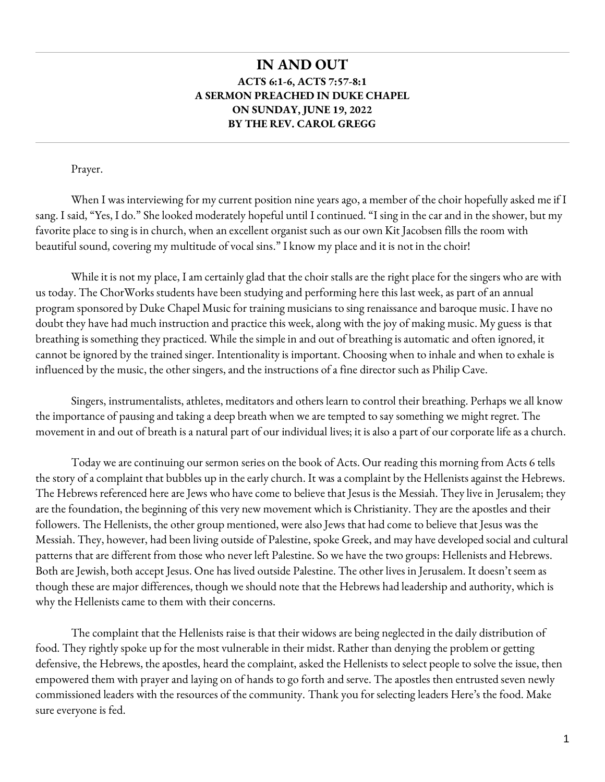## **IN AND OUT ACTS 6:1-6, ACTS 7:57-8:1 A SERMON PREACHED IN DUKE CHAPEL ON SUNDAY, JUNE 19, 2022 BY THE REV. CAROL GREGG**

Prayer.

When I was interviewing for my current position nine years ago, a member of the choir hopefully asked me if I sang. I said, "Yes, I do." She looked moderately hopeful until I continued. "I sing in the car and in the shower, but my favorite place to sing is in church, when an excellent organist such as our own Kit Jacobsen fills the room with beautiful sound, covering my multitude of vocal sins." I know my place and it is not in the choir!

While it is not my place, I am certainly glad that the choir stalls are the right place for the singers who are with us today. The ChorWorks students have been studying and performing here this last week, as part of an annual program sponsored by Duke Chapel Music for training musicians to sing renaissance and baroque music. I have no doubt they have had much instruction and practice this week, along with the joy of making music. My guess is that breathing is something they practiced. While the simple in and out of breathing is automatic and often ignored, it cannot be ignored by the trained singer. Intentionality is important. Choosing when to inhale and when to exhale is influenced by the music, the other singers, and the instructions of a fine director such as Philip Cave.

Singers, instrumentalists, athletes, meditators and others learn to control their breathing. Perhaps we all know the importance of pausing and taking a deep breath when we are tempted to say something we might regret. The movement in and out of breath is a natural part of our individual lives; it is also a part of our corporate life as a church.

Today we are continuing our sermon series on the book of Acts. Our reading this morning from Acts 6 tells the story of a complaint that bubbles up in the early church. It was a complaint by the Hellenists against the Hebrews. The Hebrews referenced here are Jews who have come to believe that Jesus is the Messiah. They live in Jerusalem; they are the foundation, the beginning of this very new movement which is Christianity. They are the apostles and their followers. The Hellenists, the other group mentioned, were also Jews that had come to believe that Jesus was the Messiah. They, however, had been living outside of Palestine, spoke Greek, and may have developed social and cultural patterns that are different from those who never left Palestine. So we have the two groups: Hellenists and Hebrews. Both are Jewish, both accept Jesus. One has lived outside Palestine. The other lives in Jerusalem. It doesn't seem as though these are major differences, though we should note that the Hebrews had leadership and authority, which is why the Hellenists came to them with their concerns.

The complaint that the Hellenists raise is that their widows are being neglected in the daily distribution of food. They rightly spoke up for the most vulnerable in their midst. Rather than denying the problem or getting defensive, the Hebrews, the apostles, heard the complaint, asked the Hellenists to select people to solve the issue, then empowered them with prayer and laying on of hands to go forth and serve. The apostles then entrusted seven newly commissioned leaders with the resources of the community. Thank you for selecting leaders Here's the food. Make sure everyone is fed.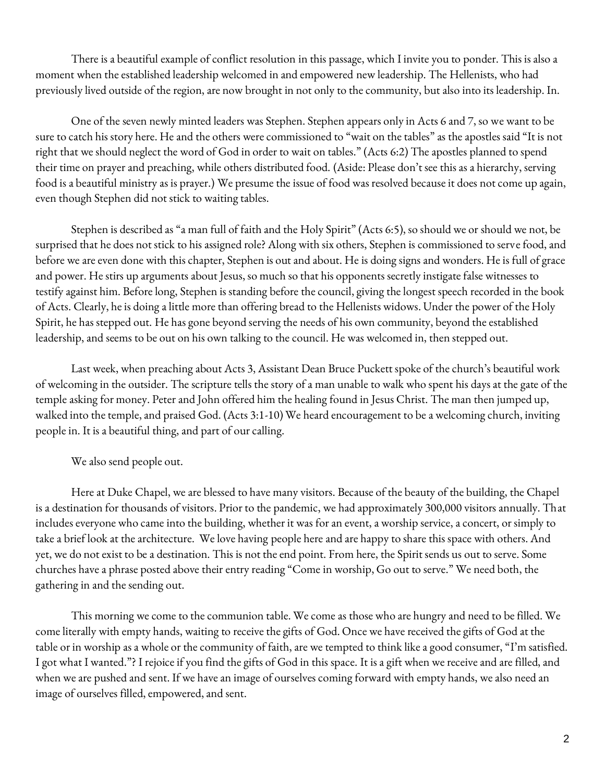There is a beautiful example of conflict resolution in this passage, which I invite you to ponder. This is also a moment when the established leadership welcomed in and empowered new leadership. The Hellenists, who had previously lived outside of the region, are now brought in not only to the community, but also into its leadership. In.

One of the seven newly minted leaders was Stephen. Stephen appears only in Acts 6 and 7, so we want to be sure to catch his story here. He and the others were commissioned to "wait on the tables" as the apostles said "It is not right that we should neglect the word of God in order to wait on tables." (Acts 6:2) The apostles planned to spend their time on prayer and preaching, while others distributed food. (Aside: Please don't see this as a hierarchy, serving food is a beautiful ministry as is prayer.) We presume the issue of food was resolved because it does not come up again, even though Stephen did not stick to waiting tables.

Stephen is described as "a man full of faith and the Holy Spirit" (Acts 6:5), so should we or should we not, be surprised that he does not stick to his assigned role? Along with six others, Stephen is commissioned to serve food, and before we are even done with this chapter, Stephen is out and about. He is doing signs and wonders. He is full of grace and power. He stirs up arguments about Jesus, so much so that his opponents secretly instigate false witnesses to testify against him. Before long, Stephen is standing before the council, giving the longest speech recorded in the book of Acts. Clearly, he is doing a little more than offering bread to the Hellenists widows. Under the power of the Holy Spirit, he has stepped out. He has gone beyond serving the needs of his own community, beyond the established leadership, and seems to be out on his own talking to the council. He was welcomed in, then stepped out.

Last week, when preaching about Acts 3, Assistant Dean Bruce Puckett spoke of the church's beautiful work of welcoming in the outsider. The scripture tells the story of a man unable to walk who spent his days at the gate of the temple asking for money. Peter and John offered him the healing found in Jesus Christ. The man then jumped up, walked into the temple, and praised God. (Acts 3:1-10) We heard encouragement to be a welcoming church, inviting people in. It is a beautiful thing, and part of our calling.

We also send people out.

Here at Duke Chapel, we are blessed to have many visitors. Because of the beauty of the building, the Chapel is a destination for thousands of visitors. Prior to the pandemic, we had approximately 300,000 visitors annually. That includes everyone who came into the building, whether it was for an event, a worship service, a concert, or simply to take a brief look at the architecture. We love having people here and are happy to share this space with others. And yet, we do not exist to be a destination. This is not the end point. From here, the Spirit sends us out to serve. Some churches have a phrase posted above their entry reading "Come in worship, Go out to serve." We need both, the gathering in and the sending out.

This morning we come to the communion table. We come as those who are hungry and need to be filled. We come literally with empty hands, waiting to receive the gifts of God. Once we have received the gifts of God at the table or in worship as a whole or the community of faith, are we tempted to think like a good consumer, "I'm satisfied. I got what I wanted."? I rejoice if you find the gifts of God in this space. It is a gift when we receive and are filled, and when we are pushed and sent. If we have an image of ourselves coming forward with empty hands, we also need an image of ourselves filled, empowered, and sent.